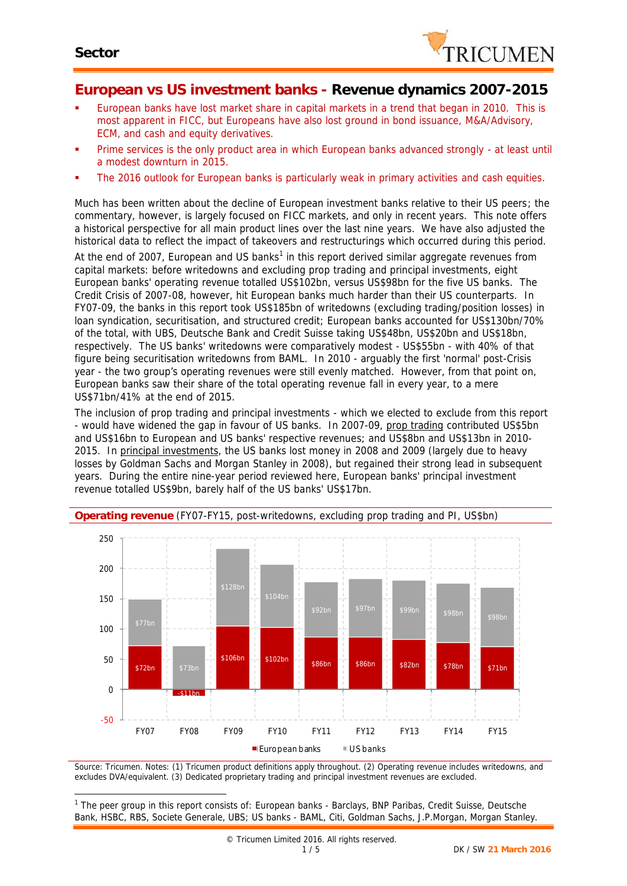

### **European vs US investment banks - Revenue dynamics 2007-2015**

- European banks have lost market share in capital markets in a trend that began in 2010. This is most apparent in FICC, but Europeans have also lost ground in bond issuance, M&A/Advisory, ECM, and cash and equity derivatives.
- **Prime services is the only product area in which European banks advanced strongly at least until** a modest downturn in 2015.
- The 2016 outlook for European banks is particularly weak in primary activities and cash equities.

Much has been written about the decline of European investment banks relative to their US peers; the commentary, however, is largely focused on FICC markets, and only in recent years. This note offers a historical perspective for all main product lines over the last nine years. We have also adjusted the historical data to reflect the impact of takeovers and restructurings which occurred during this period.

At the end of 2007, European and US banks<sup>1</sup> in this report derived similar aggregate revenues from capital markets: before writedowns and excluding prop trading and principal investments, eight European banks' operating revenue totalled US\$102bn, versus US\$98bn for the five US banks. The Credit Crisis of 2007-08, however, hit European banks much harder than their US counterparts. In FY07-09, the banks in this report took US\$185bn of writedowns (excluding trading/position losses) in loan syndication, securitisation, and structured credit; European banks accounted for US\$130bn/70% of the total, with UBS, Deutsche Bank and Credit Suisse taking US\$48bn, US\$20bn and US\$18bn, respectively. The US banks' writedowns were comparatively modest - US\$55bn - with 40% of that figure being securitisation writedowns from BAML. In 2010 - arguably the first 'normal' post-Crisis year - the two group's operating revenues were still evenly matched. However, from that point on, European banks saw their share of the total operating revenue fall in every year, to a mere US\$71bn/41% at the end of 2015.

The inclusion of prop trading and principal investments - which we elected to exclude from this report - would have widened the gap in favour of US banks. In 2007-09, prop trading contributed US\$5bn and US\$16bn to European and US banks' respective revenues; and US\$8bn and US\$13bn in 2010- 2015. In principal investments, the US banks lost money in 2008 and 2009 (largely due to heavy losses by Goldman Sachs and Morgan Stanley in 2008), but regained their strong lead in subsequent years. During the entire nine-year period reviewed here, European banks' principal investment revenue totalled US\$9bn, barely half of the US banks' US\$17bn.



**Operating revenue** (FY07-FY15, post-writedowns, excluding prop trading and PI, US\$bn)

*Source: Tricumen. Notes: (1) Tricumen product definitions apply throughout. (2) Operating revenue includes writedowns, and excludes DVA/equivalent. (3) Dedicated proprietary trading and principal investment revenues are excluded.*

*<sup>1</sup> The peer group in this report consists of: European banks -Barclays, BNP Paribas, Credit Suisse, Deutsche Bank, HSBC, RBS, Societe Generale, UBS; US banks -BAML, Citi, Goldman Sachs, J.P.Morgan, Morgan Stanley.*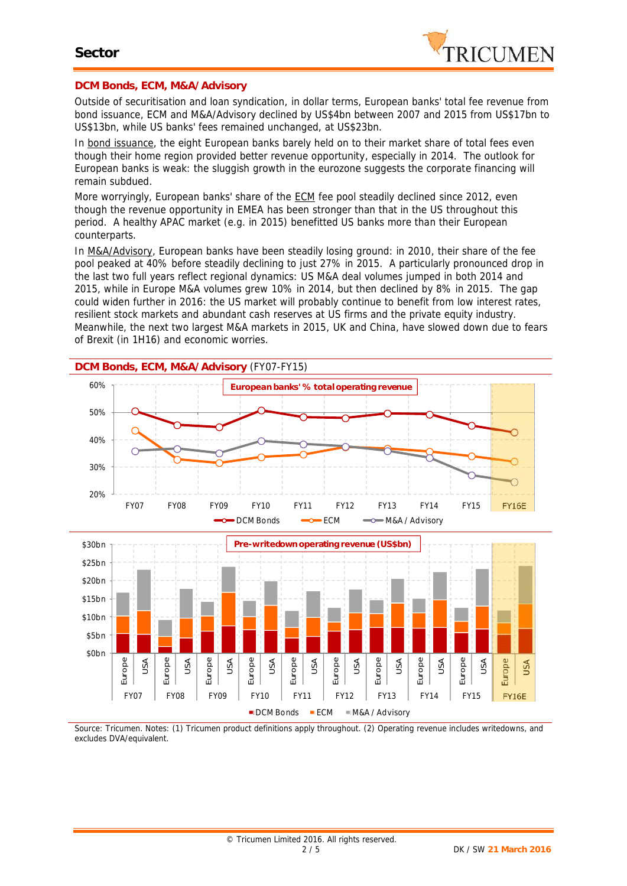

#### **DCM Bonds, ECM, M&A/Advisory**

Outside of securitisation and loan syndication, in dollar terms, European banks' total fee revenue from bond issuance, ECM and M&A/Advisory declined by US\$4bn between 2007 and 2015 from US\$17bn to US\$13bn, while US banks' fees remained unchanged, at US\$23bn.

In bond issuance, the eight European banks barely held on to their market share of total fees even though their home region provided better revenue opportunity, especially in 2014. The outlook for European banks is weak: the sluggish growth in the eurozone suggests the corporate financing will remain subdued.

More worryingly, European banks' share of the ECM fee pool steadily declined since 2012, even though the revenue opportunity in EMEA has been stronger than that in the US throughout this period. A healthy APAC market (e.g. in 2015) benefitted US banks more than their European counterparts.

In M&A/Advisory, European banks have been steadily losing ground: in 2010, their share of the fee pool peaked at 40% before steadily declining to just 27% in 2015. A particularly pronounced drop in the last two full years reflect regional dynamics: US M&A deal volumes jumped in both 2014 and 2015, while in Europe M&A volumes grew 10% in 2014, but then declined by 8% in 2015. The gap could widen further in 2016: the US market will probably continue to benefit from low interest rates, resilient stock markets and abundant cash reserves at US firms and the private equity industry. Meanwhile, the next two largest M&A markets in 2015, UK and China, have slowed down due to fears of Brexit (in 1H16) and economic worries.



*Source: Tricumen. Notes: (1) Tricumen product definitions apply throughout. (2) Operating revenue includes writedowns, and excludes DVA/equivalent.*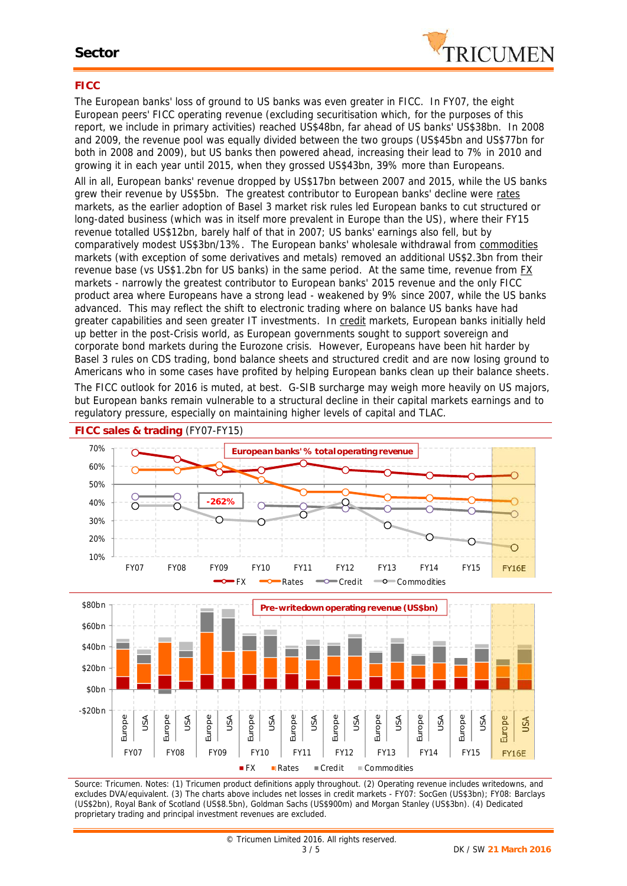

### **FICC**

The European banks' loss of ground to US banks was even greater in FICC. In FY07, the eight European peers' FICC operating revenue (excluding securitisation which, for the purposes of this report, we include in primary activities) reached US\$48bn, far ahead of US banks' US\$38bn. In 2008 and 2009, the revenue pool was equally divided between the two groups (US\$45bn and US\$77bn for both in 2008 and 2009), but US banks then powered ahead, increasing their lead to 7% in 2010 and growing it in each year until 2015, when they grossed US\$43bn, 39% more than Europeans.

All in all, European banks' revenue dropped by US\$17bn between 2007 and 2015, while the US banks grew their revenue by US\$5bn. The greatest contributor to European banks' decline were rates markets, as the earlier adoption of Basel 3 market risk rules led European banks to cut structured or long-dated business (which was in itself more prevalent in Europe than the US), where their FY15 revenue totalled US\$12bn, barely half of that in 2007; US banks' earnings also fell, but by comparatively modest US\$3bn/13%. The European banks' wholesale withdrawal from commodities markets (with exception of some derivatives and metals) removed an additional US\$2.3bn from their revenue base (vs US\$1.2bn for US banks) in the same period. At the same time, revenue from EX markets - narrowly the greatest contributor to European banks' 2015 revenue and the only FICC product area where Europeans have a strong lead - weakened by 9% since 2007, while the US banks advanced. This may reflect the shift to electronic trading where on balance US banks have had greater capabilities and seen greater IT investments. In credit markets, European banks initially held up better in the post-Crisis world, as European governments sought to support sovereign and corporate bond markets during the Eurozone crisis. However, Europeans have been hit harder by Basel 3 rules on CDS trading, bond balance sheets and structured credit and are now losing ground to Americans who in some cases have profited by helping European banks clean up their balance sheets. The FICC outlook for 2016 is muted, at best. G-SIB surcharge may weigh more heavily on US majors, but European banks remain vulnerable to a structural decline in their capital markets earnings and to regulatory pressure, especially on maintaining higher levels of capital and TLAC.



*Source: Tricumen. Notes: (1) Tricumen product definitions apply throughout. (2) Operating revenue includes writedowns, and excludes DVA/equivalent. (3) The charts above includes net losses in credit markets - FY07: SocGen (US\$3bn); FY08: Barclays (US\$2bn), Royal Bank of Scotland (US\$8.5bn), Goldman Sachs (US\$900m) and Morgan Stanley (US\$3bn). (4) Dedicated proprietary trading and principal investment revenues are excluded.*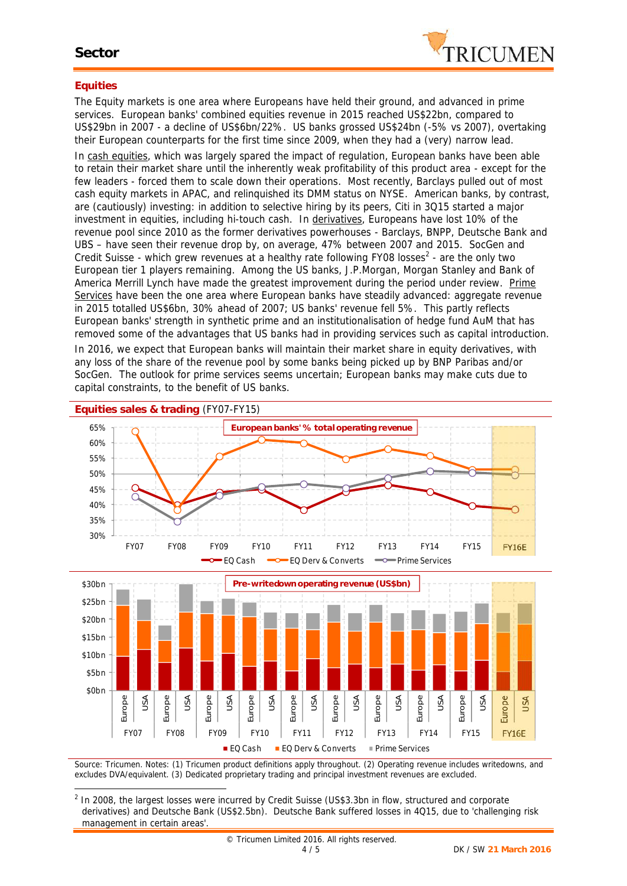

#### **Equities**

The Equity markets is one area where Europeans have held their ground, and advanced in prime services. European banks' combined equities revenue in 2015 reached US\$22bn, compared to US\$29bn in 2007 - a decline of US\$6bn/22%. US banks grossed US\$24bn (-5% vs 2007), overtaking their European counterparts for the first time since 2009, when they had a (very) narrow lead.

In cash equities, which was largely spared the impact of regulation, European banks have been able to retain their market share until the inherently weak profitability of this product area - except for the few leaders - forced them to scale down their operations. Most recently, Barclays pulled out of most cash equity markets in APAC, and relinquished its DMM status on NYSE. American banks, by contrast, are (cautiously) investing: in addition to selective hiring by its peers, Citi in 3Q15 started a major investment in equities, including hi-touch cash. In derivatives, Europeans have lost 10% of the revenue pool since 2010 as the former derivatives powerhouses - Barclays, BNPP, Deutsche Bank and UBS – have seen their revenue drop by, on average, 47% between 2007 and 2015. SocGen and Credit Suisse - which grew revenues at a healthy rate following FY08 losses<sup>2</sup> - are the only two European tier 1 players remaining. Among the US banks, J.P.Morgan, Morgan Stanley and Bank of America Merrill Lynch have made the greatest improvement during the period under review. Prime Services have been the one area where European banks have steadily advanced: aggregate revenue in 2015 totalled US\$6bn, 30% ahead of 2007; US banks' revenue fell 5%. This partly reflects European banks' strength in synthetic prime and an institutionalisation of hedge fund AuM that has removed some of the advantages that US banks had in providing services such as capital introduction.

In 2016, we expect that European banks will maintain their market share in equity derivatives, with any loss of the share of the revenue pool by some banks being picked up by BNP Paribas and/or SocGen. The outlook for prime services seems uncertain; European banks may make cuts due to capital constraints, to the benefit of US banks.



*Source: Tricumen. Notes: (1) Tricumen product definitions apply throughout. (2) Operating revenue includes writedowns, and excludes DVA/equivalent. (3) Dedicated proprietary trading and principal investment revenues are excluded.*

*<sup>2</sup> In 2008, the largest losses were incurred by Credit Suisse (US\$3.3bn in flow, structured and corporate derivatives) and Deutsche Bank (US\$2.5bn). Deutsche Bank suffered losses in 4Q15, due to 'challenging risk management in certain areas'.*